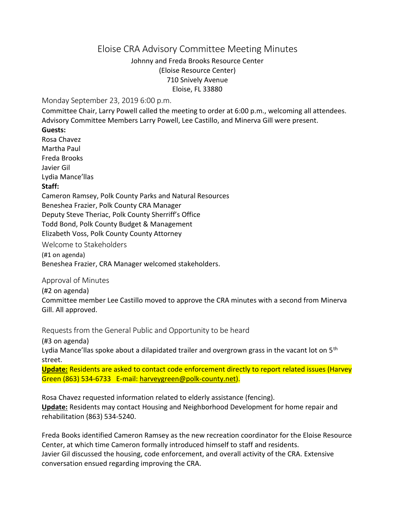# Eloise CRA Advisory Committee Meeting Minutes

Johnny and Freda Brooks Resource Center (Eloise Resource Center) 710 Snively Avenue Eloise, FL 33880

Monday September 23, 2019 6:00 p.m.

Committee Chair, Larry Powell called the meeting to order at 6:00 p.m., welcoming all attendees. Advisory Committee Members Larry Powell, Lee Castillo, and Minerva Gill were present.

### **Guests:**

Rosa Chavez Martha Paul Freda Brooks Javier Gil Lydia Mance'llas **Staff:**

Cameron Ramsey, Polk County Parks and Natural Resources

Beneshea Frazier, Polk County CRA Manager

Deputy Steve Theriac, Polk County Sherriff's Office

Todd Bond, Polk County Budget & Management

Elizabeth Voss, Polk County County Attorney

Welcome to Stakeholders

(#1 on agenda)

Beneshea Frazier, CRA Manager welcomed stakeholders.

Approval of Minutes

(#2 on agenda)

Committee member Lee Castillo moved to approve the CRA minutes with a second from Minerva Gill. All approved.

Requests from the General Public and Opportunity to be heard

(#3 on agenda)

Lydia Mance'llas spoke about a dilapidated trailer and overgrown grass in the vacant lot on 5<sup>th</sup> street.

**Update:** Residents are asked to contact code enforcement directly to report related issues (Harvey Green (863) 534-6733 E-mail: [harveygreen@polk-county.net\)](mailto:harveygreen@polk-county.net).

Rosa Chavez requested information related to elderly assistance (fencing). **Update:** Residents may contact Housing and Neighborhood Development for home repair and rehabilitation (863) 534-5240.

Freda Books identified Cameron Ramsey as the new recreation coordinator for the Eloise Resource Center, at which time Cameron formally introduced himself to staff and residents. Javier Gil discussed the housing, code enforcement, and overall activity of the CRA. Extensive conversation ensued regarding improving the CRA.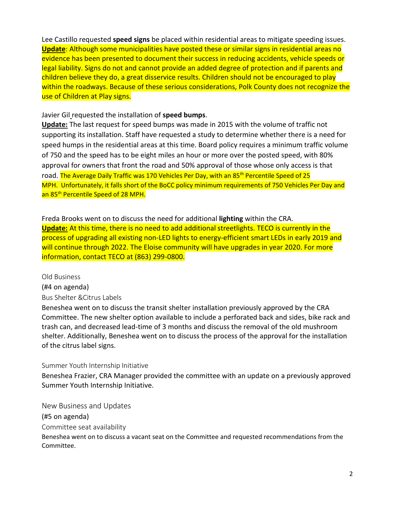Lee Castillo requested **speed signs** be placed within residential areas to mitigate speeding issues. **Update**: Although some municipalities have posted these or similar signs in residential areas no evidence has been presented to document their success in reducing accidents, vehicle speeds or legal liability. Signs do not and cannot provide an added degree of protection and if parents and children believe they do, a great disservice results. Children should not be encouraged to play within the roadways. Because of these serious considerations, Polk County does not recognize the use of Children at Play signs.

### Javier Gil requested the installation of **speed bumps**.

**Update:** The last request for speed bumps was made in 2015 with the volume of traffic not supporting its installation. Staff have requested a study to determine whether there is a need for speed humps in the residential areas at this time. Board policy requires a minimum traffic volume of 750 and the speed has to be eight miles an hour or more over the posted speed, with 80% approval for owners that front the road and 50% approval of those whose only access is that road. The Average Daily Traffic was 170 Vehicles Per Day, with an 85<sup>th</sup> Percentile Speed of 25 MPH. Unfortunately, it falls short of the BoCC policy minimum requirements of 750 Vehicles Per Day and an 85<sup>th</sup> Percentile Speed of 28 MPH.

Freda Brooks went on to discuss the need for additional **lighting** within the CRA. **Update:** At this time, there is no need to add additional streetlights. TECO is currently in the process of upgrading all existing non-LED lights to energy-efficient smart LEDs in early 2019 and will continue through 2022. The Eloise community will have upgrades in year 2020. For more information, contact TECO at (863) 299-0800.

Old Business (#4 on agenda) Bus Shelter &Citrus Labels

Beneshea went on to discuss the transit shelter installation previously approved by the CRA Committee. The new shelter option available to include a perforated back and sides, bike rack and trash can, and decreased lead-time of 3 months and discuss the removal of the old mushroom shelter. Additionally, Beneshea went on to discuss the process of the approval for the installation of the citrus label signs.

### Summer Youth Internship Initiative

Beneshea Frazier, CRA Manager provided the committee with an update on a previously approved Summer Youth Internship Initiative.

New Business and Updates

(#5 on agenda)

Committee seat availability

Beneshea went on to discuss a vacant seat on the Committee and requested recommendations from the Committee.